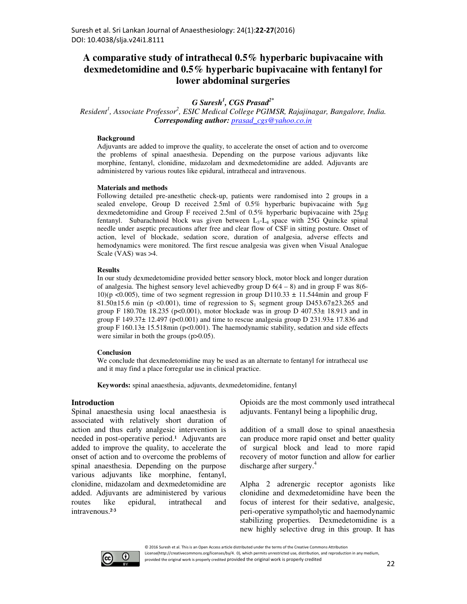# **A comparative study of intrathecal 0.5% hyperbaric bupivacaine with dexmedetomidine and 0.5% hyperbaric bupivacaine with fentanyl for lower abdominal surgeries**

# *G Suresh<sup>1</sup> , CGS Prasad2\**

*Resident<sup>1</sup> , Associate Professor<sup>2</sup> , ESIC Medical College PGIMSR, Rajajinagar, Bangalore, India. Corresponding author: prasad\_cgs@yahoo.co.in*

### **Background**

Adjuvants are added to improve the quality, to accelerate the onset of action and to overcome the problems of spinal anaesthesia. Depending on the purpose various adjuvants like morphine, fentanyl, clonidine, midazolam and dexmedetomidine are added. Adjuvants are administered by various routes like epidural, intrathecal and intravenous.

### **Materials and methods**

Following detailed pre-anesthetic check-up, patients were randomised into 2 groups in a sealed envelope, Group D received 2.5ml of 0.5% hyperbaric bupivacaine with 5µg dexmedetomidine and Group F received 2.5ml of 0.5% hyperbaric bupivacaine with 25µg fentanyl. Subarachnoid block was given between L3-L4 space with 25G Quincke spinal needle under aseptic precautions after free and clear flow of CSF in sitting posture. Onset of action, level of blockade, sedation score, duration of analgesia, adverse effects and hemodynamics were monitored. The first rescue analgesia was given when Visual Analogue Scale (VAS) was >4.

#### **Results**

In our study dexmedetomidine provided better sensory block, motor block and longer duration of analgesia. The highest sensory level achievedby group  $D\ 6(4-8)$  and in group F was 8(6-10)(p <0.005), time of two segment regression in group D110.33  $\pm$  11.544min and group F 81.50 $\pm$ 15.6 min (p <0.001), time of regression to S<sub>1</sub> segment group D453.67 $\pm$ 23.265 and group F  $180.70 \pm 18.235$  (p<0.001), motor blockade was in group D  $407.53 \pm 18.913$  and in group F 149.37 $\pm$  12.497 (p<0.001) and time to rescue analgesia group D 231.93 $\pm$  17.836 and group F  $160.13 \pm 15.518$  min (p<0.001). The haemodynamic stability, sedation and side effects were similar in both the groups (p $>0.05$ ).

### **Conclusion**

We conclude that dexmedetomidine may be used as an alternate to fentanyl for intrathecal use and it may find a place forregular use in clinical practice.

**Keywords:** spinal anaesthesia, adjuvants, dexmedetomidine, fentanyl

### **Introduction**

Spinal anaesthesia using local anaesthesia is associated with relatively short duration of action and thus early analgesic intervention is needed in post-operative period.<sup>1</sup> Adjuvants are added to improve the quality, to accelerate the onset of action and to overcome the problems of spinal anaesthesia. Depending on the purpose various adjuvants like morphine, fentanyl, clonidine, midazolam and dexmedetomidine are added. Adjuvants are administered by various routes like epidural, intrathecal and intravenous.<sup>2,3</sup>

Opioids are the most commonly used intrathecal adjuvants. Fentanyl being a lipophilic drug,

addition of a small dose to spinal anaesthesia can produce more rapid onset and better quality of surgical block and lead to more rapid recovery of motor function and allow for earlier discharge after surgery.<sup>4</sup>

Alpha 2 adrenergic receptor agonists like clonidine and dexmedetomidine have been the focus of interest for their sedative, analgesic, peri-operative sympatholytic and haemodynamic stabilizing properties. Dexmedetomidine is a new highly selective drug in this group. It has



© 2016 Suresh et al. This is an Open Access article distributed under the terms of the Creative Commons Attribution License(http://creativecommons.org/licenses/by/4. 0), which permits unrestricted use, distribution, and reproduction in any medium, provided the original work is properly credited provided the original work is properly credited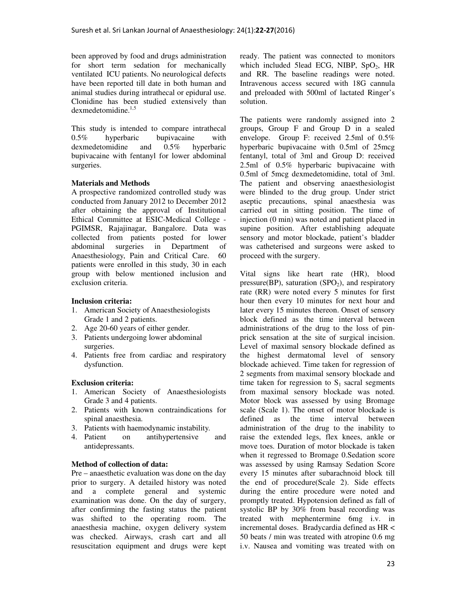been approved by food and drugs administration for short term sedation for mechanically ventilated ICU patients. No neurological defects have been reported till date in both human and animal studies during intrathecal or epidural use. Clonidine has been studied extensively than dexmedetomidine.<sup>1,5</sup>

This study is intended to compare intrathecal  $0.5\%$  hyperbaric bupivacaine with<br>dexmedetomidine and  $0.5\%$  hyperbaric dexmedetomidine and 0.5% hyperbaric bupivacaine with fentanyl for lower abdominal surgeries.

# **Materials and Methods**

A prospective randomized controlled study was conducted from January 2012 to December 2012 after obtaining the approval of Institutional Ethical Committee at ESIC-Medical College - PGIMSR, Rajajinagar, Bangalore. Data was collected from patients posted for lower abdominal surgeries in Department of Anaesthesiology, Pain and Critical Care. 60 patients were enrolled in this study, 30 in each group with below mentioned inclusion and exclusion criteria.

# **Inclusion criteria:**

- 1. American Society of Anaesthesiologists Grade 1 and 2 patients.
- 2. Age 20-60 years of either gender.
- 3. Patients undergoing lower abdominal surgeries.
- 4. Patients free from cardiac and respiratory dysfunction.

# **Exclusion criteria:**

- 1. American Society of Anaesthesiologists Grade 3 and 4 patients.
- 2. Patients with known contraindications for spinal anaesthesia.
- 3. Patients with haemodynamic instability.
- 4. Patient on antihypertensive and antidepressants.

# **Method of collection of data:**

Pre – anaesthetic evaluation was done on the day prior to surgery. A detailed history was noted and a complete general and systemic examination was done. On the day of surgery, after confirming the fasting status the patient was shifted to the operating room. The anaesthesia machine, oxygen delivery system was checked. Airways, crash cart and all resuscitation equipment and drugs were kept ready. The patient was connected to monitors which included 5lead ECG, NIBP,  $SpO<sub>2</sub>$ , HR and RR. The baseline readings were noted. Intravenous access secured with 18G cannula and preloaded with 500ml of lactated Ringer's solution.

The patients were randomly assigned into 2 groups, Group F and Group D in a sealed envelope. Group F: received 2.5ml of 0.5% hyperbaric bupivacaine with 0.5ml of 25mcg fentanyl, total of 3ml and Group D: received 2.5ml of 0.5% hyperbaric bupivacaine with 0.5ml of 5mcg dexmedetomidine, total of 3ml. The patient and observing anaesthesiologist were blinded to the drug group. Under strict aseptic precautions, spinal anaesthesia was carried out in sitting position. The time of injection (0 min) was noted and patient placed in supine position. After establishing adequate sensory and motor blockade, patient's bladder was catheterised and surgeons were asked to proceed with the surgery.

Vital signs like heart rate (HR), blood pressure(BP), saturation  $(SPO<sub>2</sub>)$ , and respiratory rate (RR) were noted every 5 minutes for first hour then every 10 minutes for next hour and later every 15 minutes thereon. Onset of sensory block defined as the time interval between administrations of the drug to the loss of pinprick sensation at the site of surgical incision. Level of maximal sensory blockade defined as the highest dermatomal level of sensory blockade achieved. Time taken for regression of 2 segments from maximal sensory blockade and time taken for regression to  $S_1$  sacral segments from maximal sensory blockade was noted. Motor block was assessed by using Bromage scale (Scale 1). The onset of motor blockade is defined as the time interval between administration of the drug to the inability to raise the extended legs, flex knees, ankle or move toes. Duration of motor blockade is taken when it regressed to Bromage 0.Sedation score was assessed by using Ramsay Sedation Score every 15 minutes after subarachnoid block till the end of procedure(Scale 2). Side effects during the entire procedure were noted and promptly treated. Hypotension defined as fall of systolic BP by 30% from basal recording was treated with mephentermine 6mg i.v. in incremental doses. Bradycardia defined as HR < 50 beats / min was treated with atropine 0.6 mg i.v. Nausea and vomiting was treated with on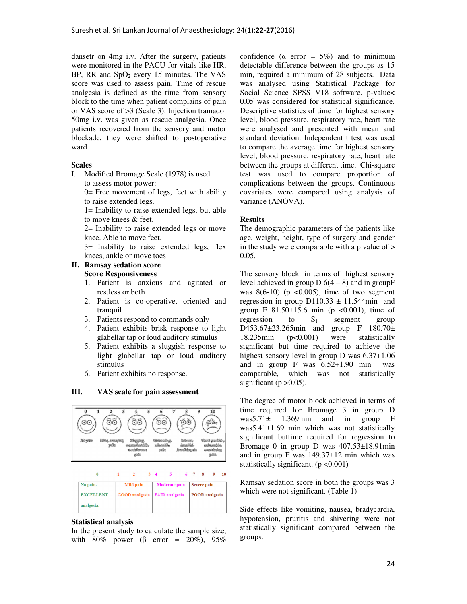dansetr on 4mg i.v. After the surgery, patients were monitored in the PACU for vitals like HR, BP, RR and  $SpO<sub>2</sub>$  every 15 minutes. The VAS score was used to assess pain. Time of rescue analgesia is defined as the time from sensory block to the time when patient complains of pain or VAS score of >3 (Scale 3). Injection tramadol 50mg i.v. was given as rescue analgesia. Once patients recovered from the sensory and motor blockade, they were shifted to postoperative ward.

### **Scales**

I. Modified Bromage Scale (1978) is used

to assess motor power: 0= Free movement of legs, feet with ability to raise extended legs.

1= Inability to raise extended legs, but able to move knees & feet.

2= Inability to raise extended legs or move knee. Able to move feet.

3= Inability to raise extended legs, flex knees, ankle or move toes

# **II. Ramsay sedation score**

# **Score Responsiveness**

- 1. Patient is anxious and agitated or restless or both
- 2. Patient is co-operative, oriented and tranquil
- 3. Patients respond to commands only
- 4. Patient exhibits brisk response to light glabellar tap or loud auditory stimulus
- 5. Patient exhibits a sluggish response to light glabellar tap or loud auditory stimulus
- 6. Patient exhibits no response.

# **III. VAS scale for pain assessment**



### **Statistical analysis**

In the present study to calculate the sample size, with 80% power ( $\beta$  error = 20%), 95% confidence ( $\alpha$  error = 5%) and to minimum detectable difference between the groups as 15 min, required a minimum of 28 subjects. Data was analysed using Statistical Package for Social Science SPSS V18 software. p-value< 0.05 was considered for statistical significance. Descriptive statistics of time for highest sensory level, blood pressure, respiratory rate, heart rate were analysed and presented with mean and standard deviation. Independent t test was used to compare the average time for highest sensory level, blood pressure, respiratory rate, heart rate between the groups at different time. Chi-square test was used to compare proportion of complications between the groups. Continuous covariates were compared using analysis of variance (ANOVA).

# **Results**

The demographic parameters of the patients like age, weight, height, type of surgery and gender in the study were comparable with a p value of  $>$ 0.05.

The sensory block in terms of highest sensory level achieved in group  $D_0(4-8)$  and in group F was  $8(6-10)$  (p  $\lt 0.005$ ), time of two segment regression in group  $D110.33 \pm 11.544$  min and group F  $81.50 \pm 15.6$  min (p <0.001), time of regression to  $S_1$  segment group D453.67±23.265min and group F 180.70± 18.235min (p<0.001) were statistically significant but time required to achieve the highest sensory level in group D was  $6.37 \pm 1.06$ and in group F was 6.52+1.90 min was comparable, which was not statistically significant ( $p > 0.05$ ).

The degree of motor block achieved in terms of time required for Bromage 3 in group D was5.71± 1.369min and in group F was5.41±1.69 min which was not statistically significant buttime required for regression to Bromage 0 in group D was 407.53±18.91min and in group F was 149.37±12 min which was statistically significant.  $(p < 0.001)$ 

Ramsay sedation score in both the groups was 3 which were not significant. (Table 1)

Side effects like vomiting, nausea, bradycardia, hypotension, pruritis and shivering were not statistically significant compared between the groups.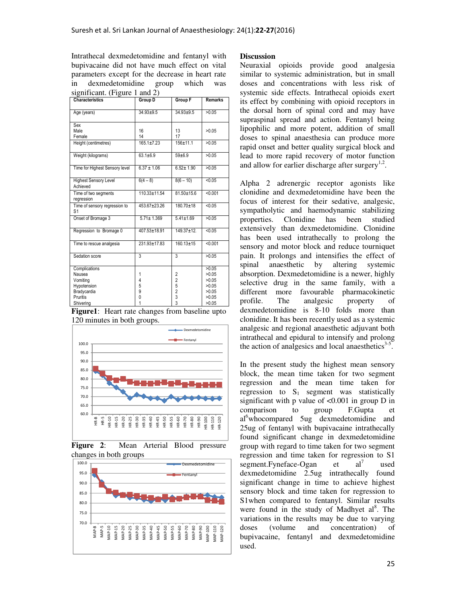Intrathecal dexmedetomidine and fentanyl with bupivacaine did not have much effect on vital parameters except for the decrease in heart rate in dexmedetomidine group which was  $sionification$  (Figure 1 and 2)

| <b>Characteristics</b>                                                                     | Group D                    | <b>Group F</b>                                   | <b>Remarks</b>                                              |
|--------------------------------------------------------------------------------------------|----------------------------|--------------------------------------------------|-------------------------------------------------------------|
| Age (years)                                                                                | $34.93 + 9.5$              | $34.93 + 9.5$                                    | >0.05                                                       |
| Sex<br>Male<br>Female                                                                      | 16<br>14                   | 13<br>17                                         | >0.05                                                       |
| Height (centimetres)                                                                       | $165.1 \pm 7.23$           | $156 \pm 11.1$                                   | >0.05                                                       |
| Weight (kilograms)                                                                         | $63.1 \pm 6.9$             | $59 + 6.9$                                       | >0.05                                                       |
| Time for Highest Sensory level                                                             | $6.37 \pm 1.06$            | $6.52 \pm 1.90$                                  | >0.05                                                       |
| <b>Highest Sensory Level</b><br>Achieved                                                   | $6(4-8)$                   | $8(6 - 10)$                                      | < 0.05                                                      |
| Time of two segments<br>regression                                                         | 110.33±11.54               | $81.50 + 15.6$                                   | < 0.001                                                     |
| Time of sensory regression to<br>S <sub>1</sub>                                            | 453.67±23.26               | $180.70 \pm 18$                                  | 50.05                                                       |
| Onset of Bromage 3                                                                         | $5.71 \pm 1.369$           | $5.41 \pm 1.69$                                  | >0.05                                                       |
| Regression to Bromage 0                                                                    | 407.53±18.91               | $149.37 \pm 12.$                                 | 50.05                                                       |
| Time to rescue analgesia                                                                   | 231.93±17.83               | $160.13 \pm 15$                                  | < 0.001                                                     |
| Sedation score                                                                             | $\overline{3}$             | $\overline{3}$                                   | >0.05                                                       |
| Complications<br>Nausea<br>Vomiting<br>Hypotension<br>Bradycardia<br>Pruritis<br>Shivering | 1<br>4<br>5<br>9<br>0<br>1 | 2<br>2<br>5<br>$\overline{\mathbf{c}}$<br>3<br>3 | >0.05<br>>0.05<br>>0.05<br>>0.05<br>>0.05<br>>0.05<br>>0.05 |

**Figure1**: Heart rate changes from baseline upto 120 minutes in both groups.



**Figure 2**: Mean Arterial Blood pressure changes in both groups



# **Discussion**

Neuraxial opioids provide good analgesia similar to systemic administration, but in small doses and concentrations with less risk of systemic side effects. Intrathecal opioids exert its effect by combining with opioid receptors in the dorsal horn of spinal cord and may have supraspinal spread and action. Fentanyl being lipophilic and more potent, addition of small doses to spinal anaesthesia can produce more rapid onset and better quality surgical block and lead to more rapid recovery of motor function and allow for earlier discharge after surgery $1.2$ .

Alpha 2 adrenergic receptor agonists like clonidine and dexmedetomidine have been the focus of interest for their sedative, analgesic, sympatholytic and haemodynamic stabilizing properties. Clonidine has been studied extensively than dexmedetomidine. Clonidine has been used intrathecally to prolong the sensory and motor block and reduce tourniquet pain. It prolongs and intensifies the effect of spinal anaesthetic by altering systemic absorption. Dexmedetomidine is a newer, highly selective drug in the same family, with a different more favourable pharmacokinetic profile. The analgesic property of dexmedetomidine is 8-10 folds more than clonidine. It has been recently used as a systemic analgesic and regional anaesthetic adjuvant both intrathecal and epidural to intensify and prolong the action of analgesics and local anaesthetics $3-5$ .

In the present study the highest mean sensory block, the mean time taken for two segment regression and the mean time taken for regression to  $S_1$  segment was statistically significant with p value of  $\langle 0.001 \rangle$  in group D in comparison to group F.Gupta et al<sup>6</sup>whocompared 5ug dexmedetomidine and 25ug of fentanyl with bupivacaine intrathecally found significant change in dexmedetomidine group with regard to time taken for two segment regression and time taken for regression to S1 segment.Fyneface-Ogan et al<sup>7</sup> used dexmedetomidine 2.5ug intrathecally found significant change in time to achieve highest sensory block and time taken for regression to S1when compared to fentanyl. Similar results were found in the study of Madhyet al<sup>8</sup>. The variations in the results may be due to varying doses (volume and concentration) of bupivacaine, fentanyl and dexmedetomidine used.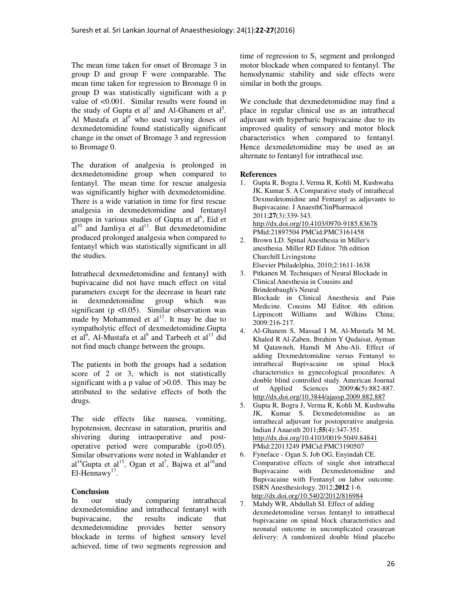The mean time taken for onset of Bromage 3 in group D and group F were comparable. The mean time taken for regression to Bromage 0 in group D was statistically significant with a p value of <0.001. Similar results were found in the study of Gupta et al<sup>1</sup> and Al-Ghanem et al<sup>5</sup>. Al Mustafa et al<sup>9</sup> who used varying doses of dexmedetomidine found statistically significant change in the onset of Bromage 3 and regression to Bromage 0.

The duration of analgesia is prolonged in dexmedetomidine group when compared to fentanyl. The mean time for rescue analgesia was significantly higher with dexmedetomidine. There is a wide variation in time for first rescue analgesia in dexmedetomidine and fentanyl groups in various studies of Gupta et al<sup>6</sup>, Eid et  $al<sup>10</sup>$  and Jamliya et al<sup>11</sup>. But dexmedetomidine produced prolonged analgesia when compared to fentanyl which was statistically significant in all the studies.

Intrathecal dexmedetomidine and fentanyl with bupivacaine did not have much effect on vital parameters except for the decrease in heart rate in dexmedetomidine group which was significant (p  $<$ 0.05). Similar observation was made by Mohammed et  $al<sup>12</sup>$ . It may be due to sympatholytic effect of dexmedetomidine.Gupta et al<sup>6</sup>, Al-Mustafa et al<sup>9</sup> and Tarbeeh et al<sup>13</sup> did not find much change between the groups.

The patients in both the groups had a sedation score of 2 or 3, which is not statistically significant with a p value of  $>0.05$ . This may be attributed to the sedative effects of both the drugs.

The side effects like nausea, vomiting, hypotension, decrease in saturation, pruritis and shivering during intraoperative and postoperative period were comparable (p>0.05). Similar observations were noted in Wahlander et  $al^{14}$ Gupta et al<sup>15</sup>, Ogan et al<sup>7</sup>, Bajwa et al<sup>16</sup>and El-Hennawy<sup>17</sup>.

# **Conclusion**

In our study comparing intrathecal dexmedetomidine and intrathecal fentanyl with bupivacaine, the results indicate that dexmedetomidine provides better sensory blockade in terms of highest sensory level achieved, time of two segments regression and

time of regression to  $S_1$  segment and prolonged motor blockade when compared to fentanyl. The hemodynamic stability and side effects were similar in both the groups.

We conclude that dexmedetomidine may find a place in regular clinical use as an intrathecal adjuvant with hyperbaric bupivacaine due to its improved quality of sensory and motor block characteristics when compared to fentanyl. Hence dexmedetomidine may be used as an alternate to fentanyl for intrathecal use.

# **References**

- 1. Gupta R, Bogra J, Verma R, Kohli M, Kushwaha JK, Kumar S. A Comparative study of intrathecal Dexmedetomidine and Fentanyl as adjuvants to Bupivacaine. J AnaesthClinPharmacol 2011;**27**(3):339-343. http://dx.doi.org/10.4103/0970-9185.83678 PMid:21897504 PMCid:PMC3161458
- 2. Brown LD. Spinal Anesthesia in Miller's anesthesia. Miller RD Editor. 7th edition Churchill Livingstone Elsevier Philadelphia, 2010;2:1611-1638
- 3. Pitkanen M. Techniques of Neural Blockade in Clinical Anesthesia in Cousins and Brindenbaugh's Neural Blockade in Clinical Anesthesia and Pain Medicine. Cousins MJ Editor. 4th edition. Lippincott Williams and Wilkins China; 2009:216-217.
- 4. Al-Ghanem S, Massad I M, Al-Mustafa M M, Khaled R Al-Zaben, Ibrahim Y Qudaisat, Ayman M Qatawneh, Hamdi M Abu-Ali. Effect of adding Dexmedetomidine versus Fentanyl to intrathecal Bupivacaine on spinal block characteristics in gynecological procedures: A double blind controlled study. American Journal of Applied Sciences 2009;**6**(5):882-887. http://dx.doi.org/10.3844/ajassp.2009.882.887
- 5. Gupta R, Bogra J, Verma R, Kohli M, Kushwaha JK, Kumar S. Dexmedetomidine as an intrathecal adjuvant for postoperative analgesia. Indian J Anaesth 2011;**55**(4):347-351. http://dx.doi.org/10.4103/0019-5049.84841 PMid:22013249 PMCid:PMC3190507
- 6. Fyneface Ogan S, Job OG, Enyindah CE. Comparative effects of single shot intrathecal Bupivacaine with Dexmedetomidine and Bupivacaine with Fentanyl on labor outcome. ISRN Anesthesiology. 2012;**2012**:1-6. http://dx.doi.org/10.5402/2012/816984
- 7. Mahdy WR, Abdullah SI. Effect of adding dexmedetomidine versus fentanyl to intrathecal bupivacaine on spinal block characteristics and neonatal outcome in uncomplicated ceasarean delivery: A randomized double blind placebo